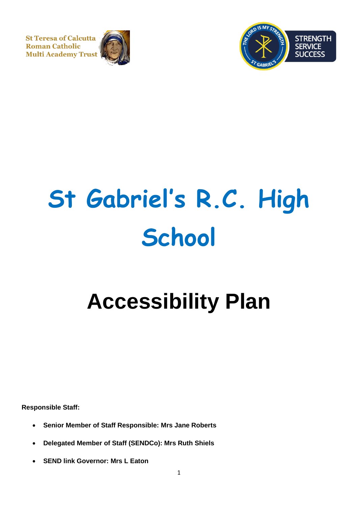**St Teresa of Calcutta Roman Catholic Multi Academy Trust** 





# **St Gabriel's R.C. High School**

# **Accessibility Plan**

**Responsible Staff:**

- **Senior Member of Staff Responsible: Mrs Jane Roberts**
- **Delegated Member of Staff (SENDCo): Mrs Ruth Shiels**
- **SEND link Governor: Mrs L Eaton**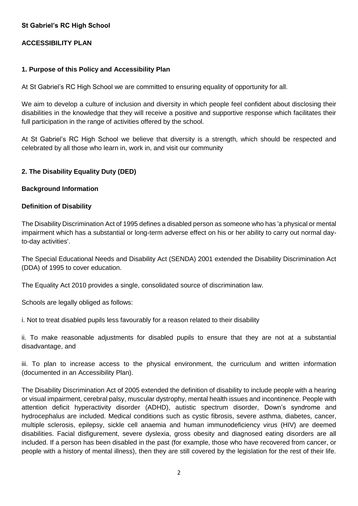#### **St Gabriel's RC High School**

#### **ACCESSIBILITY PLAN**

#### **1. Purpose of this Policy and Accessibility Plan**

At St Gabriel's RC High School we are committed to ensuring equality of opportunity for all.

We aim to develop a culture of inclusion and diversity in which people feel confident about disclosing their disabilities in the knowledge that they will receive a positive and supportive response which facilitates their full participation in the range of activities offered by the school.

At St Gabriel's RC High School we believe that diversity is a strength, which should be respected and celebrated by all those who learn in, work in, and visit our community

#### **2. The Disability Equality Duty (DED)**

#### **Background Information**

#### **Definition of Disability**

The Disability Discrimination Act of 1995 defines a disabled person as someone who has 'a physical or mental impairment which has a substantial or long-term adverse effect on his or her ability to carry out normal dayto-day activities'.

The Special Educational Needs and Disability Act (SENDA) 2001 extended the Disability Discrimination Act (DDA) of 1995 to cover education.

The Equality Act 2010 provides a single, consolidated source of discrimination law.

Schools are legally obliged as follows:

i. Not to treat disabled pupils less favourably for a reason related to their disability

ii. To make reasonable adjustments for disabled pupils to ensure that they are not at a substantial disadvantage, and

iii. To plan to increase access to the physical environment, the curriculum and written information (documented in an Accessibility Plan).

The Disability Discrimination Act of 2005 extended the definition of disability to include people with a hearing or visual impairment, cerebral palsy, muscular dystrophy, mental health issues and incontinence. People with attention deficit hyperactivity disorder (ADHD), autistic spectrum disorder, Down's syndrome and hydrocephalus are included. Medical conditions such as cystic fibrosis, severe asthma, diabetes, cancer, multiple sclerosis, epilepsy, sickle cell anaemia and human immunodeficiency virus (HIV) are deemed disabilities. Facial disfigurement, severe dyslexia, gross obesity and diagnosed eating disorders are all included. If a person has been disabled in the past (for example, those who have recovered from cancer, or people with a history of mental illness), then they are still covered by the legislation for the rest of their life.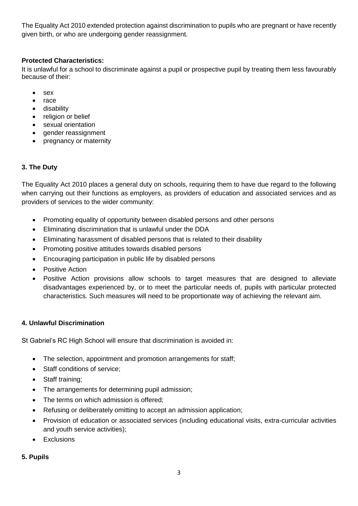The Equality Act 2010 extended protection against discrimination to pupils who are pregnant or have recently given birth, or who are undergoing gender reassignment.

# **Protected Characteristics:**

It is unlawful for a school to discriminate against a pupil or prospective pupil by treating them less favourably because of their:

- sex
- race
- disability
- religion or belief
- sexual orientation
- gender reassignment
- pregnancy or maternity

# **3. The Duty**

The Equality Act 2010 places a general duty on schools, requiring them to have due regard to the following when carrying out their functions as employers, as providers of education and associated services and as providers of services to the wider community:

- Promoting equality of opportunity between disabled persons and other persons
- Eliminating discrimination that is unlawful under the DDA
- Eliminating harassment of disabled persons that is related to their disability
- Promoting positive attitudes towards disabled persons
- Encouraging participation in public life by disabled persons
- Positive Action
- Positive Action provisions allow schools to target measures that are designed to alleviate disadvantages experienced by, or to meet the particular needs of, pupils with particular protected characteristics. Such measures will need to be proportionate way of achieving the relevant aim.

#### **4. Unlawful Discrimination**

St Gabriel's RC High School will ensure that discrimination is avoided in:

- The selection, appointment and promotion arrangements for staff;
- Staff conditions of service;
- Staff training;
- The arrangements for determining pupil admission;
- The terms on which admission is offered;
- Refusing or deliberately omitting to accept an admission application;
- Provision of education or associated services (including educational visits, extra-curricular activities and youth service activities);
- Exclusions

# **5. Pupils**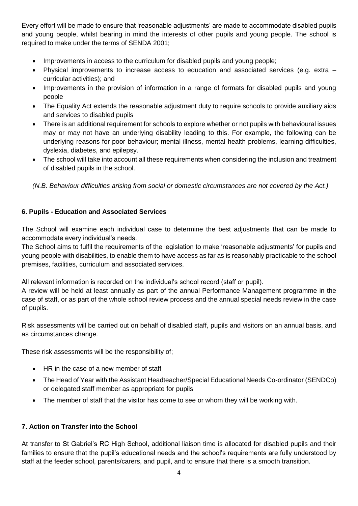Every effort will be made to ensure that 'reasonable adjustments' are made to accommodate disabled pupils and young people, whilst bearing in mind the interests of other pupils and young people. The school is required to make under the terms of SENDA 2001;

- Improvements in access to the curriculum for disabled pupils and young people;
- Physical improvements to increase access to education and associated services (e.g. extra curricular activities); and
- Improvements in the provision of information in a range of formats for disabled pupils and young people
- The Equality Act extends the reasonable adjustment duty to require schools to provide auxiliary aids and services to disabled pupils
- There is an additional requirement for schools to explore whether or not pupils with behavioural issues may or may not have an underlying disability leading to this. For example, the following can be underlying reasons for poor behaviour; mental illness, mental health problems, learning difficulties, dyslexia, diabetes, and epilepsy.
- The school will take into account all these requirements when considering the inclusion and treatment of disabled pupils in the school.

*(N.B. Behaviour difficulties arising from social or domestic circumstances are not covered by the Act.)*

#### **6. Pupils - Education and Associated Services**

The School will examine each individual case to determine the best adjustments that can be made to accommodate every individual's needs.

The School aims to fulfil the requirements of the legislation to make 'reasonable adjustments' for pupils and young people with disabilities, to enable them to have access as far as is reasonably practicable to the school premises, facilities, curriculum and associated services.

All relevant information is recorded on the individual's school record (staff or pupil).

A review will be held at least annually as part of the annual Performance Management programme in the case of staff, or as part of the whole school review process and the annual special needs review in the case of pupils.

Risk assessments will be carried out on behalf of disabled staff, pupils and visitors on an annual basis, and as circumstances change.

These risk assessments will be the responsibility of;

- HR in the case of a new member of staff
- The Head of Year with the Assistant Headteacher/Special Educational Needs Co-ordinator (SENDCo) or delegated staff member as appropriate for pupils
- The member of staff that the visitor has come to see or whom they will be working with.

#### **7. Action on Transfer into the School**

At transfer to St Gabriel's RC High School, additional liaison time is allocated for disabled pupils and their families to ensure that the pupil's educational needs and the school's requirements are fully understood by staff at the feeder school, parents/carers, and pupil, and to ensure that there is a smooth transition.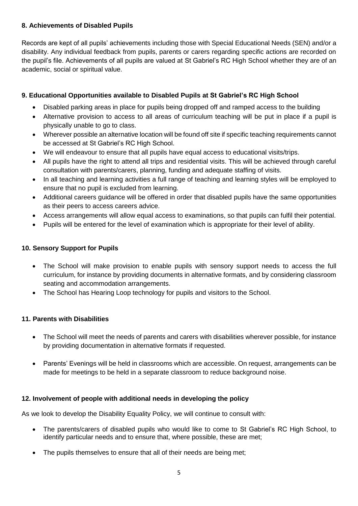### **8. Achievements of Disabled Pupils**

Records are kept of all pupils' achievements including those with Special Educational Needs (SEN) and/or a disability. Any individual feedback from pupils, parents or carers regarding specific actions are recorded on the pupil's file. Achievements of all pupils are valued at St Gabriel's RC High School whether they are of an academic, social or spiritual value.

# **9. Educational Opportunities available to Disabled Pupils at St Gabriel's RC High School**

- Disabled parking areas in place for pupils being dropped off and ramped access to the building
- Alternative provision to access to all areas of curriculum teaching will be put in place if a pupil is physically unable to go to class.
- Wherever possible an alternative location will be found off site if specific teaching requirements cannot be accessed at St Gabriel's RC High School.
- We will endeavour to ensure that all pupils have equal access to educational visits/trips.
- All pupils have the right to attend all trips and residential visits. This will be achieved through careful consultation with parents/carers, planning, funding and adequate staffing of visits.
- In all teaching and learning activities a full range of teaching and learning styles will be employed to ensure that no pupil is excluded from learning.
- Additional careers guidance will be offered in order that disabled pupils have the same opportunities as their peers to access careers advice.
- Access arrangements will allow equal access to examinations, so that pupils can fulfil their potential.
- Pupils will be entered for the level of examination which is appropriate for their level of ability.

#### **10. Sensory Support for Pupils**

- The School will make provision to enable pupils with sensory support needs to access the full curriculum, for instance by providing documents in alternative formats, and by considering classroom seating and accommodation arrangements.
- The School has Hearing Loop technology for pupils and visitors to the School.

#### **11. Parents with Disabilities**

- The School will meet the needs of parents and carers with disabilities wherever possible, for instance by providing documentation in alternative formats if requested.
- Parents' Evenings will be held in classrooms which are accessible. On request, arrangements can be made for meetings to be held in a separate classroom to reduce background noise.

# **12. Involvement of people with additional needs in developing the policy**

As we look to develop the Disability Equality Policy, we will continue to consult with:

- The parents/carers of disabled pupils who would like to come to St Gabriel's RC High School, to identify particular needs and to ensure that, where possible, these are met;
- The pupils themselves to ensure that all of their needs are being met;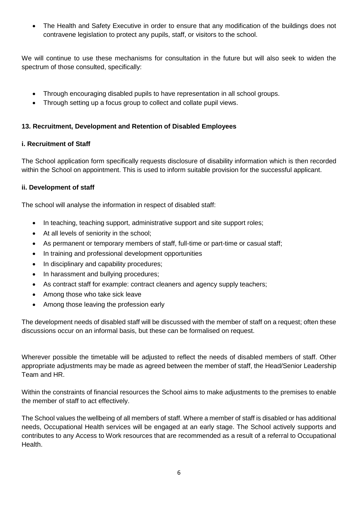• The Health and Safety Executive in order to ensure that any modification of the buildings does not contravene legislation to protect any pupils, staff, or visitors to the school.

We will continue to use these mechanisms for consultation in the future but will also seek to widen the spectrum of those consulted, specifically:

- Through encouraging disabled pupils to have representation in all school groups.
- Through setting up a focus group to collect and collate pupil views.

# **13. Recruitment, Development and Retention of Disabled Employees**

#### **i. Recruitment of Staff**

The School application form specifically requests disclosure of disability information which is then recorded within the School on appointment. This is used to inform suitable provision for the successful applicant.

#### **ii. Development of staff**

The school will analyse the information in respect of disabled staff:

- In teaching, teaching support, administrative support and site support roles;
- At all levels of seniority in the school;
- As permanent or temporary members of staff, full-time or part-time or casual staff;
- In training and professional development opportunities
- In disciplinary and capability procedures;
- In harassment and bullying procedures:
- As contract staff for example: contract cleaners and agency supply teachers;
- Among those who take sick leave
- Among those leaving the profession early

The development needs of disabled staff will be discussed with the member of staff on a request; often these discussions occur on an informal basis, but these can be formalised on request.

Wherever possible the timetable will be adjusted to reflect the needs of disabled members of staff. Other appropriate adjustments may be made as agreed between the member of staff, the Head/Senior Leadership Team and HR.

Within the constraints of financial resources the School aims to make adjustments to the premises to enable the member of staff to act effectively.

The School values the wellbeing of all members of staff. Where a member of staff is disabled or has additional needs, Occupational Health services will be engaged at an early stage. The School actively supports and contributes to any Access to Work resources that are recommended as a result of a referral to Occupational Health.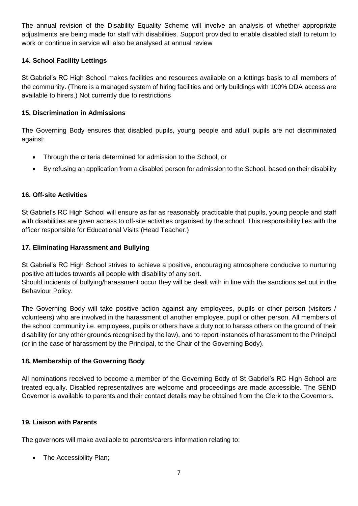The annual revision of the Disability Equality Scheme will involve an analysis of whether appropriate adjustments are being made for staff with disabilities. Support provided to enable disabled staff to return to work or continue in service will also be analysed at annual review

#### **14. School Facility Lettings**

St Gabriel's RC High School makes facilities and resources available on a lettings basis to all members of the community. (There is a managed system of hiring facilities and only buildings with 100% DDA access are available to hirers.) Not currently due to restrictions

#### **15. Discrimination in Admissions**

The Governing Body ensures that disabled pupils, young people and adult pupils are not discriminated against:

- Through the criteria determined for admission to the School, or
- By refusing an application from a disabled person for admission to the School, based on their disability

#### **16. Off-site Activities**

St Gabriel's RC High School will ensure as far as reasonably practicable that pupils, young people and staff with disabilities are given access to off-site activities organised by the school. This responsibility lies with the officer responsible for Educational Visits (Head Teacher.)

#### **17. Eliminating Harassment and Bullying**

St Gabriel's RC High School strives to achieve a positive, encouraging atmosphere conducive to nurturing positive attitudes towards all people with disability of any sort.

Should incidents of bullying/harassment occur they will be dealt with in line with the sanctions set out in the Behaviour Policy.

The Governing Body will take positive action against any employees, pupils or other person (visitors / volunteers) who are involved in the harassment of another employee, pupil or other person. All members of the school community i.e. employees, pupils or others have a duty not to harass others on the ground of their disability (or any other grounds recognised by the law), and to report instances of harassment to the Principal (or in the case of harassment by the Principal, to the Chair of the Governing Body).

#### **18. Membership of the Governing Body**

All nominations received to become a member of the Governing Body of St Gabriel's RC High School are treated equally. Disabled representatives are welcome and proceedings are made accessible. The SEND Governor is available to parents and their contact details may be obtained from the Clerk to the Governors.

#### **19. Liaison with Parents**

The governors will make available to parents/carers information relating to:

• The Accessibility Plan;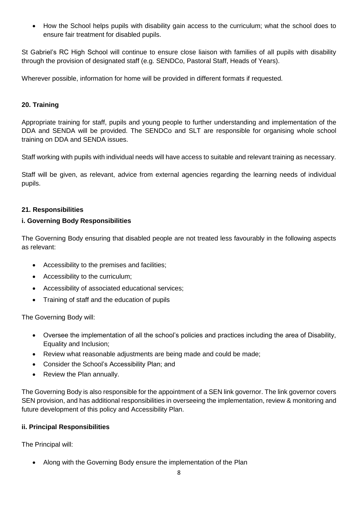• How the School helps pupils with disability gain access to the curriculum; what the school does to ensure fair treatment for disabled pupils.

St Gabriel's RC High School will continue to ensure close liaison with families of all pupils with disability through the provision of designated staff (e.g. SENDCo, Pastoral Staff, Heads of Years).

Wherever possible, information for home will be provided in different formats if requested.

#### **20. Training**

Appropriate training for staff, pupils and young people to further understanding and implementation of the DDA and SENDA will be provided. The SENDCo and SLT are responsible for organising whole school training on DDA and SENDA issues.

Staff working with pupils with individual needs will have access to suitable and relevant training as necessary.

Staff will be given, as relevant, advice from external agencies regarding the learning needs of individual pupils.

#### **21. Responsibilities**

#### **i. Governing Body Responsibilities**

The Governing Body ensuring that disabled people are not treated less favourably in the following aspects as relevant:

- Accessibility to the premises and facilities;
- Accessibility to the curriculum;
- Accessibility of associated educational services;
- Training of staff and the education of pupils

The Governing Body will:

- Oversee the implementation of all the school's policies and practices including the area of Disability, Equality and Inclusion;
- Review what reasonable adjustments are being made and could be made;
- Consider the School's Accessibility Plan; and
- Review the Plan annually.

The Governing Body is also responsible for the appointment of a SEN link governor. The link governor covers SEN provision, and has additional responsibilities in overseeing the implementation, review & monitoring and future development of this policy and Accessibility Plan.

#### **ii. Principal Responsibilities**

The Principal will:

• Along with the Governing Body ensure the implementation of the Plan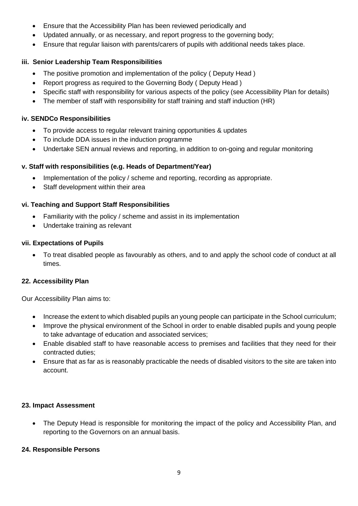- Ensure that the Accessibility Plan has been reviewed periodically and
- Updated annually, or as necessary, and report progress to the governing body;
- Ensure that regular liaison with parents/carers of pupils with additional needs takes place.

# **iii. Senior Leadership Team Responsibilities**

- The positive promotion and implementation of the policy (Deputy Head)
- Report progress as required to the Governing Body ( Deputy Head )
- Specific staff with responsibility for various aspects of the policy (see Accessibility Plan for details)
- The member of staff with responsibility for staff training and staff induction (HR)

# **iv. SENDCo Responsibilities**

- To provide access to regular relevant training opportunities & updates
- To include DDA issues in the induction programme
- Undertake SEN annual reviews and reporting, in addition to on-going and regular monitoring

# **v. Staff with responsibilities (e.g. Heads of Department/Year)**

- Implementation of the policy / scheme and reporting, recording as appropriate.
- Staff development within their area

# **vi. Teaching and Support Staff Responsibilities**

- Familiarity with the policy / scheme and assist in its implementation
- Undertake training as relevant

# **vii. Expectations of Pupils**

• To treat disabled people as favourably as others, and to and apply the school code of conduct at all times.

# **22. Accessibility Plan**

Our Accessibility Plan aims to:

- Increase the extent to which disabled pupils an young people can participate in the School curriculum;
- Improve the physical environment of the School in order to enable disabled pupils and young people to take advantage of education and associated services;
- Enable disabled staff to have reasonable access to premises and facilities that they need for their contracted duties;
- Ensure that as far as is reasonably practicable the needs of disabled visitors to the site are taken into account.

#### **23. Impact Assessment**

• The Deputy Head is responsible for monitoring the impact of the policy and Accessibility Plan, and reporting to the Governors on an annual basis.

# **24. Responsible Persons**